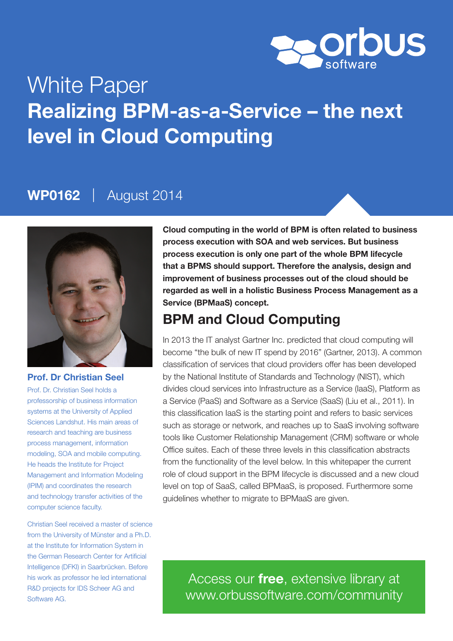

# White Paper Realizing BPM-as-a-Service – the next level in Cloud Computing

# WP0162 | August 2014



### Prof. Dr Christian Seel

Prof. Dr. Christian Seel holds a professorship of business information systems at the University of Applied Sciences Landshut. His main areas of research and teaching are business process management, information modeling, SOA and mobile computing. He heads the Institute for Project Management and Information Modeling (IPIM) and coordinates the research and technology transfer activities of the computer science faculty.

Christian Seel received a master of science from the University of Münster and a Ph.D. at the Institute for Information System in the German Research Center for Artificial Intelligence (DFKI) in Saarbrücken. Before his work as professor he led international R&D projects for IDS Scheer AG and Software AG.

Cloud computing in the world of BPM is often related to business process execution with SOA and web services. But business process execution is only one part of the whole BPM lifecycle that a BPMS should support. Therefore the analysis, design and improvement of business processes out of the cloud should be regarded as well in a holistic Business Process Management as a Service (BPMaaS) concept.

### BPM and Cloud Computing

In 2013 the IT analyst Gartner Inc. predicted that cloud computing will become "the bulk of new IT spend by 2016" (Gartner, 2013). A common classification of services that cloud providers offer has been developed by the National Institute of Standards and Technology (NIST), which divides cloud services into Infrastructure as a Service (IaaS), Platform as a Service (PaaS) and Software as a Service (SaaS) (Liu et al., 2011). In this classification IaaS is the starting point and refers to basic services such as storage or network, and reaches up to SaaS involving software tools like Customer Relationship Management (CRM) software or whole Office suites. Each of these three levels in this classification abstracts from the functionality of the level below. In this whitepaper the current role of cloud support in the BPM lifecycle is discussed and a new cloud level on top of SaaS, called BPMaaS, is proposed. Furthermore some guidelines whether to migrate to BPMaaS are given.

Access our free, extensive library at <www.orbussoftware.com/community>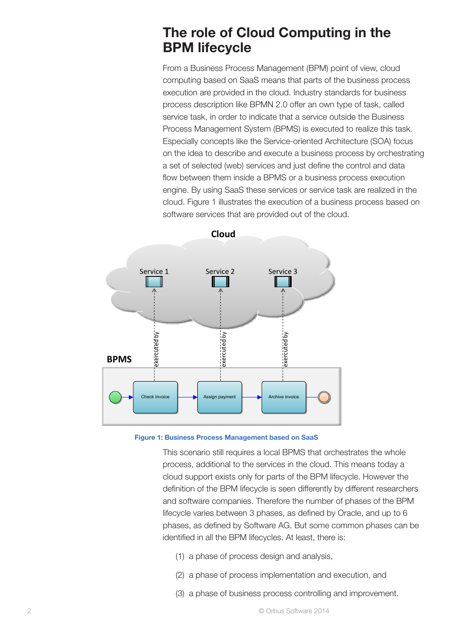# The role of Cloud Computing in the BPM lifecycle

From a Business Process Management (BPM) point of view, cloud computing based on SaaS means that parts of the business process execution are provided in the cloud. Industry standards for business process description like BPMN 2.0 offer an own type of task, called service task, in order to indicate that a service outside the Business Process Management System (BPMS) is executed to realize this task. Especially concepts like the Service-oriented Architecture (SOA) focus on the idea to describe and execute a business process by orchestrating a set of selected (web) services and just define the control and data flow between them inside a BPMS or a business process execution engine. By using SaaS these services or service task are realized in the cloud. Figure 1 illustrates the execution of a business process based on software services that are provided out of the cloud.





This scenario still requires a local BPMS that orchestrates the whole process, additional to the services in the cloud. This means today a cloud support exists only for parts of the BPM lifecycle. However the definition of the BPM lifecycle is seen differently by different researchers and software companies. Therefore the number of phases of the BPM lifecycle varies between 3 phases, as defined by Oracle, and up to 6 phases, as defined by Software AG. But some common phases can be identified in all the BPM lifecycles. At least, there is:

- (1) a phase of process design and analysis,
- (2) a phase of process implementation and execution, and
- (3) a phase of business process controlling and improvement.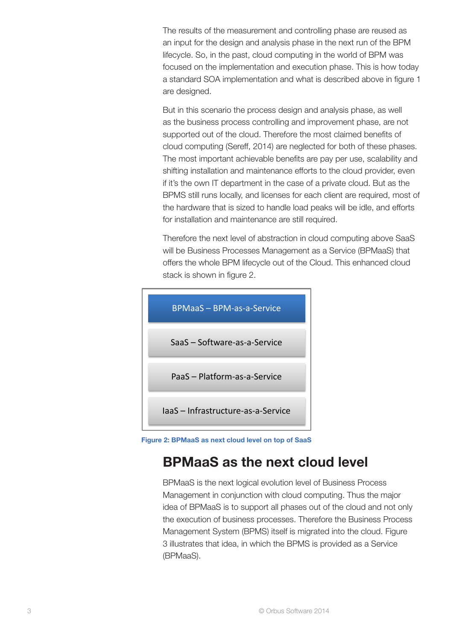The results of the measurement and controlling phase are reused as an input for the design and analysis phase in the next run of the BPM lifecycle. So, in the past, cloud computing in the world of BPM was focused on the implementation and execution phase. This is how today a standard SOA implementation and what is described above in figure 1 are designed.

But in this scenario the process design and analysis phase, as well as the business process controlling and improvement phase, are not supported out of the cloud. Therefore the most claimed benefits of cloud computing (Sereff, 2014) are neglected for both of these phases. The most important achievable benefits are pay per use, scalability and shifting installation and maintenance efforts to the cloud provider, even if it's the own IT department in the case of a private cloud. But as the BPMS still runs locally, and licenses for each client are required, most of the hardware that is sized to handle load peaks will be idle, and efforts for installation and maintenance are still required.

Therefore the next level of abstraction in cloud computing above SaaS will be Business Processes Management as a Service (BPMaaS) that offers the whole BPM lifecycle out of the Cloud. This enhanced cloud stack is shown in figure 2.



Figure 2: BPMaaS as next cloud level on top of SaaS

# BPMaaS as the next cloud level

BPMaaS is the next logical evolution level of Business Process Management in conjunction with cloud computing. Thus the major idea of BPMaaS is to support all phases out of the cloud and not only the execution of business processes. Therefore the Business Process Management System (BPMS) itself is migrated into the cloud. Figure 3 illustrates that idea, in which the BPMS is provided as a Service (BPMaaS).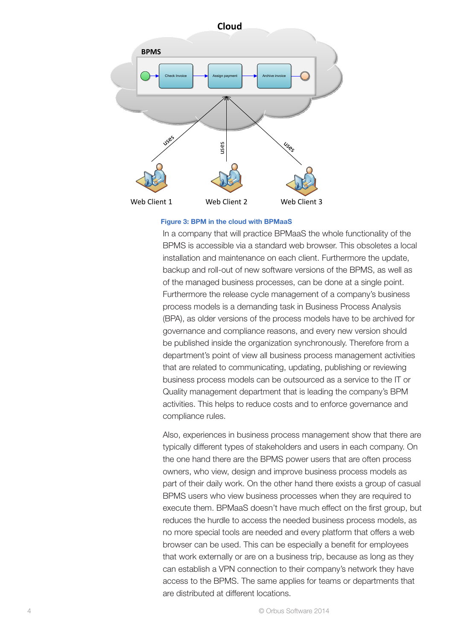

#### Figure 3: BPM in the cloud with BPMaaS

In a company that will practice BPMaaS the whole functionality of the BPMS is accessible via a standard web browser. This obsoletes a local installation and maintenance on each client. Furthermore the update, backup and roll-out of new software versions of the BPMS, as well as of the managed business processes, can be done at a single point. Furthermore the release cycle management of a company's business process models is a demanding task in Business Process Analysis (BPA), as older versions of the process models have to be archived for governance and compliance reasons, and every new version should be published inside the organization synchronously. Therefore from a department's point of view all business process management activities that are related to communicating, updating, publishing or reviewing business process models can be outsourced as a service to the IT or Quality management department that is leading the company's BPM activities. This helps to reduce costs and to enforce governance and compliance rules.

Also, experiences in business process management show that there are typically different types of stakeholders and users in each company. On the one hand there are the BPMS power users that are often process owners, who view, design and improve business process models as part of their daily work. On the other hand there exists a group of casual BPMS users who view business processes when they are required to execute them. BPMaaS doesn't have much effect on the first group, but reduces the hurdle to access the needed business process models, as no more special tools are needed and every platform that offers a web browser can be used. This can be especially a benefit for employees that work externally or are on a business trip, because as long as they can establish a VPN connection to their company's network they have access to the BPMS. The same applies for teams or departments that are distributed at different locations.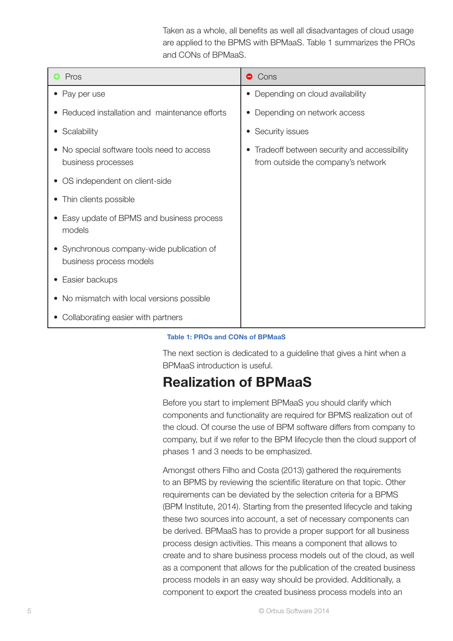Taken as a whole, all benefits as well all disadvantages of cloud usage are applied to the BPMS with BPMaaS. Table 1 summarizes the PROs and CONs of BPMaaS.

| Pros                                                                        | $\bullet$ Cons                                                                    |
|-----------------------------------------------------------------------------|-----------------------------------------------------------------------------------|
| Pay per use                                                                 | Depending on cloud availability                                                   |
| Reduced installation and maintenance efforts                                | Depending on network access                                                       |
| Scalability<br>$\bullet$                                                    | Security issues                                                                   |
| No special software tools need to access<br>$\bullet$<br>business processes | Tradeoff between security and accessibility<br>from outside the company's network |
| OS independent on client-side<br>$\bullet$                                  |                                                                                   |
| Thin clients possible<br>$\bullet$                                          |                                                                                   |
| Easy update of BPMS and business process<br>models                          |                                                                                   |
| • Synchronous company-wide publication of<br>business process models        |                                                                                   |
| Easier backups<br>$\bullet$                                                 |                                                                                   |
| No mismatch with local versions possible<br>$\bullet$                       |                                                                                   |
| Collaborating easier with partners                                          |                                                                                   |

### Table 1: PROs and CONs of BPMaaS

The next section is dedicated to a guideline that gives a hint when a BPMaaS introduction is useful.

### Realization of BPMaaS

Before you start to implement BPMaaS you should clarify which components and functionality are required for BPMS realization out of the cloud. Of course the use of BPM software differs from company to company, but if we refer to the BPM lifecycle then the cloud support of phases 1 and 3 needs to be emphasized.

Amongst others Filho and Costa (2013) gathered the requirements to an BPMS by reviewing the scientific literature on that topic. Other requirements can be deviated by the selection criteria for a BPMS (BPM Institute, 2014). Starting from the presented lifecycle and taking these two sources into account, a set of necessary components can be derived. BPMaaS has to provide a proper support for all business process design activities. This means a component that allows to create and to share business process models out of the cloud, as well as a component that allows for the publication of the created business process models in an easy way should be provided. Additionally, a component to export the created business process models into an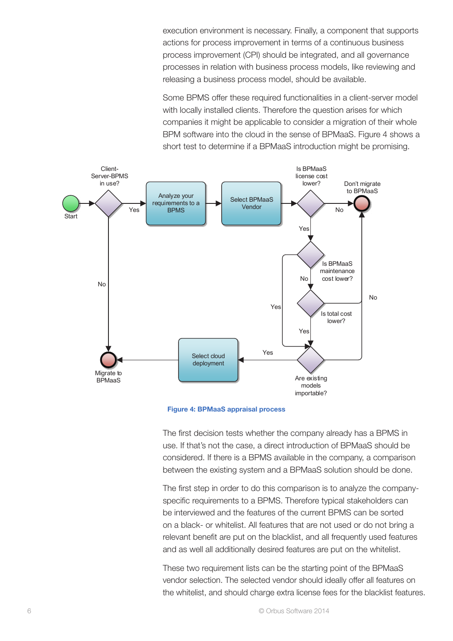execution environment is necessary. Finally, a component that supports actions for process improvement in terms of a continuous business process improvement (CPI) should be integrated, and all governance processes in relation with business process models, like reviewing and releasing a business process model, should be available.

Some BPMS offer these required functionalities in a client-server model with locally installed clients. Therefore the question arises for which companies it might be applicable to consider a migration of their whole BPM software into the cloud in the sense of BPMaaS. Figure 4 shows a short test to determine if a BPMaaS introduction might be promising.



Figure 4: BPMaaS appraisal process

The first decision tests whether the company already has a BPMS in use. If that's not the case, a direct introduction of BPMaaS should be considered. If there is a BPMS available in the company, a comparison between the existing system and a BPMaaS solution should be done.

The first step in order to do this comparison is to analyze the companyspecific requirements to a BPMS. Therefore typical stakeholders can be interviewed and the features of the current BPMS can be sorted on a black- or whitelist. All features that are not used or do not bring a relevant benefit are put on the blacklist, and all frequently used features and as well all additionally desired features are put on the whitelist.

These two requirement lists can be the starting point of the BPMaaS vendor selection. The selected vendor should ideally offer all features on the whitelist, and should charge extra license fees for the blacklist features.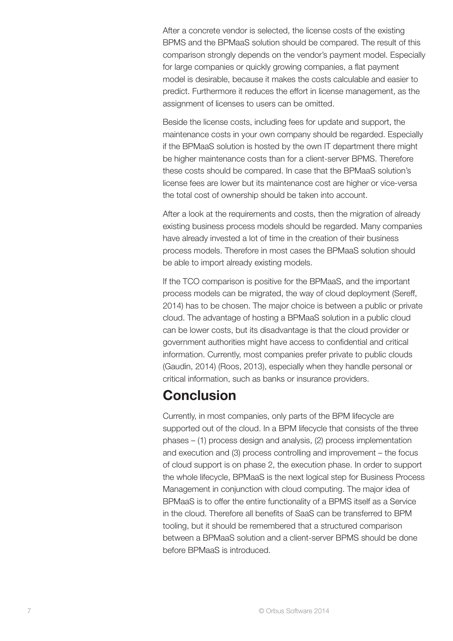After a concrete vendor is selected, the license costs of the existing BPMS and the BPMaaS solution should be compared. The result of this comparison strongly depends on the vendor's payment model. Especially for large companies or quickly growing companies, a flat payment model is desirable, because it makes the costs calculable and easier to predict. Furthermore it reduces the effort in license management, as the assignment of licenses to users can be omitted.

Beside the license costs, including fees for update and support, the maintenance costs in your own company should be regarded. Especially if the BPMaaS solution is hosted by the own IT department there might be higher maintenance costs than for a client-server BPMS. Therefore these costs should be compared. In case that the BPMaaS solution's license fees are lower but its maintenance cost are higher or vice-versa the total cost of ownership should be taken into account.

After a look at the requirements and costs, then the migration of already existing business process models should be regarded. Many companies have already invested a lot of time in the creation of their business process models. Therefore in most cases the BPMaaS solution should be able to import already existing models.

If the TCO comparison is positive for the BPMaaS, and the important process models can be migrated, the way of cloud deployment (Sereff, 2014) has to be chosen. The major choice is between a public or private cloud. The advantage of hosting a BPMaaS solution in a public cloud can be lower costs, but its disadvantage is that the cloud provider or government authorities might have access to confidential and critical information. Currently, most companies prefer private to public clouds (Gaudin, 2014) (Roos, 2013), especially when they handle personal or critical information, such as banks or insurance providers.

### Conclusion

Currently, in most companies, only parts of the BPM lifecycle are supported out of the cloud. In a BPM lifecycle that consists of the three phases – (1) process design and analysis, (2) process implementation and execution and (3) process controlling and improvement – the focus of cloud support is on phase 2, the execution phase. In order to support the whole lifecycle, BPMaaS is the next logical step for Business Process Management in conjunction with cloud computing. The major idea of BPMaaS is to offer the entire functionality of a BPMS itself as a Service in the cloud. Therefore all benefits of SaaS can be transferred to BPM tooling, but it should be remembered that a structured comparison between a BPMaaS solution and a client-server BPMS should be done before BPMaaS is introduced.